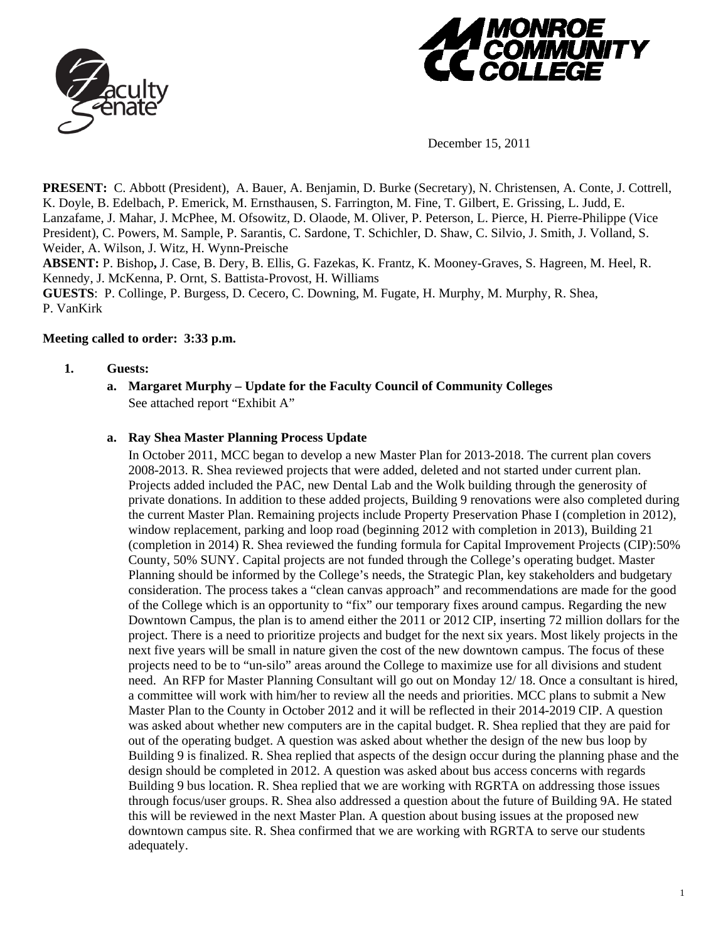



December 15, 2011

**PRESENT:** C. Abbott (President), A. Bauer, A. Benjamin, D. Burke (Secretary), N. Christensen, A. Conte, J. Cottrell, K. Doyle, B. Edelbach, P. Emerick, M. Ernsthausen, S. Farrington, M. Fine, T. Gilbert, E. Grissing, L. Judd, E. Lanzafame, J. Mahar, J. McPhee, M. Ofsowitz, D. Olaode, M. Oliver, P. Peterson, L. Pierce, H. Pierre-Philippe (Vice President), C. Powers, M. Sample, P. Sarantis, C. Sardone, T. Schichler, D. Shaw, C. Silvio, J. Smith, J. Volland, S. Weider, A. Wilson, J. Witz, H. Wynn-Preische

**ABSENT:** P. Bishop**,** J. Case, B. Dery, B. Ellis, G. Fazekas, K. Frantz, K. Mooney-Graves, S. Hagreen, M. Heel, R. Kennedy, J. McKenna, P. Ornt, S. Battista-Provost, H. Williams

**GUESTS**: P. Collinge, P. Burgess, D. Cecero, C. Downing, M. Fugate, H. Murphy, M. Murphy, R. Shea, P. VanKirk

### **Meeting called to order: 3:33 p.m.**

### **1. Guests:**

**a. Margaret Murphy – Update for the Faculty Council of Community Colleges**  See attached report "Exhibit A"

## **a. Ray Shea Master Planning Process Update**

In October 2011, MCC began to develop a new Master Plan for 2013-2018. The current plan covers 2008-2013. R. Shea reviewed projects that were added, deleted and not started under current plan. Projects added included the PAC, new Dental Lab and the Wolk building through the generosity of private donations. In addition to these added projects, Building 9 renovations were also completed during the current Master Plan. Remaining projects include Property Preservation Phase I (completion in 2012), window replacement, parking and loop road (beginning 2012 with completion in 2013), Building 21 (completion in 2014) R. Shea reviewed the funding formula for Capital Improvement Projects (CIP):50% County, 50% SUNY. Capital projects are not funded through the College's operating budget. Master Planning should be informed by the College's needs, the Strategic Plan, key stakeholders and budgetary consideration. The process takes a "clean canvas approach" and recommendations are made for the good of the College which is an opportunity to "fix" our temporary fixes around campus. Regarding the new Downtown Campus, the plan is to amend either the 2011 or 2012 CIP, inserting 72 million dollars for the project. There is a need to prioritize projects and budget for the next six years. Most likely projects in the next five years will be small in nature given the cost of the new downtown campus. The focus of these projects need to be to "un-silo" areas around the College to maximize use for all divisions and student need. An RFP for Master Planning Consultant will go out on Monday 12/ 18. Once a consultant is hired, a committee will work with him/her to review all the needs and priorities. MCC plans to submit a New Master Plan to the County in October 2012 and it will be reflected in their 2014-2019 CIP. A question was asked about whether new computers are in the capital budget. R. Shea replied that they are paid for out of the operating budget. A question was asked about whether the design of the new bus loop by Building 9 is finalized. R. Shea replied that aspects of the design occur during the planning phase and the design should be completed in 2012. A question was asked about bus access concerns with regards Building 9 bus location. R. Shea replied that we are working with RGRTA on addressing those issues through focus/user groups. R. Shea also addressed a question about the future of Building 9A. He stated this will be reviewed in the next Master Plan. A question about busing issues at the proposed new downtown campus site. R. Shea confirmed that we are working with RGRTA to serve our students adequately.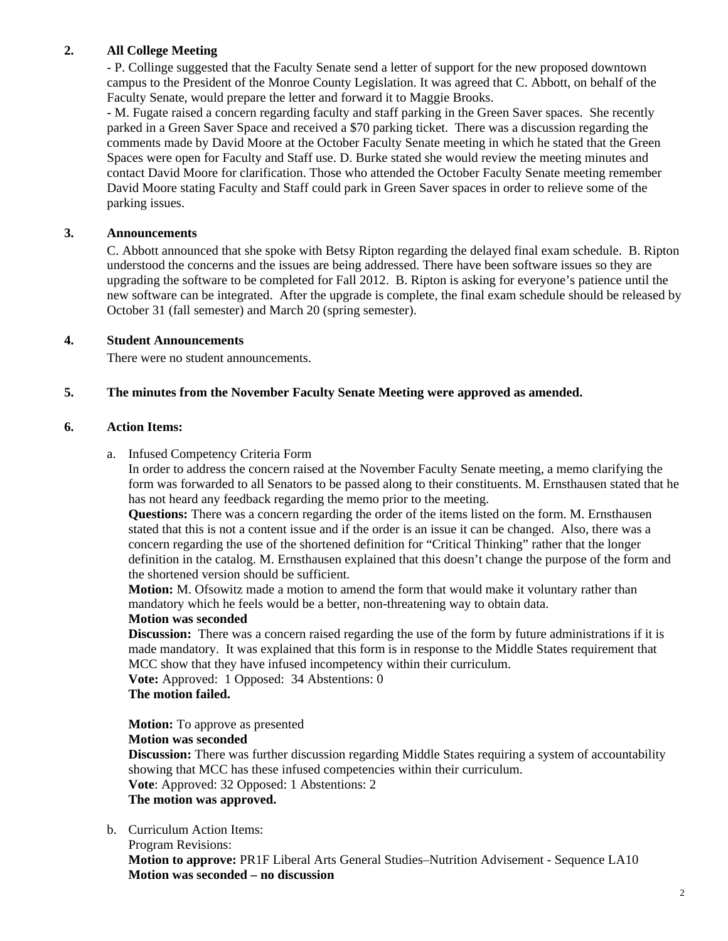# **2. All College Meeting**

- P. Collinge suggested that the Faculty Senate send a letter of support for the new proposed downtown campus to the President of the Monroe County Legislation. It was agreed that C. Abbott, on behalf of the Faculty Senate, would prepare the letter and forward it to Maggie Brooks.

- M. Fugate raised a concern regarding faculty and staff parking in the Green Saver spaces. She recently parked in a Green Saver Space and received a \$70 parking ticket. There was a discussion regarding the comments made by David Moore at the October Faculty Senate meeting in which he stated that the Green Spaces were open for Faculty and Staff use. D. Burke stated she would review the meeting minutes and contact David Moore for clarification. Those who attended the October Faculty Senate meeting remember David Moore stating Faculty and Staff could park in Green Saver spaces in order to relieve some of the parking issues.

# **3. Announcements**

C. Abbott announced that she spoke with Betsy Ripton regarding the delayed final exam schedule. B. Ripton understood the concerns and the issues are being addressed. There have been software issues so they are upgrading the software to be completed for Fall 2012. B. Ripton is asking for everyone's patience until the new software can be integrated. After the upgrade is complete, the final exam schedule should be released by October 31 (fall semester) and March 20 (spring semester).

### **4. Student Announcements**

There were no student announcements.

# **5. The minutes from the November Faculty Senate Meeting were approved as amended.**

### **6. Action Items:**

a. Infused Competency Criteria Form

In order to address the concern raised at the November Faculty Senate meeting, a memo clarifying the form was forwarded to all Senators to be passed along to their constituents. M. Ernsthausen stated that he has not heard any feedback regarding the memo prior to the meeting.

**Questions:** There was a concern regarding the order of the items listed on the form. M. Ernsthausen stated that this is not a content issue and if the order is an issue it can be changed. Also, there was a concern regarding the use of the shortened definition for "Critical Thinking" rather that the longer definition in the catalog. M. Ernsthausen explained that this doesn't change the purpose of the form and the shortened version should be sufficient.

**Motion:** M. Ofsowitz made a motion to amend the form that would make it voluntary rather than mandatory which he feels would be a better, non-threatening way to obtain data.

### **Motion was seconded**

**Discussion:** There was a concern raised regarding the use of the form by future administrations if it is made mandatory. It was explained that this form is in response to the Middle States requirement that MCC show that they have infused incompetency within their curriculum.

**Vote:** Approved: 1 Opposed: 34 Abstentions: 0

# **The motion failed.**

 **Motion:** To approve as presented **Motion was seconded** 

 **Discussion:** There was further discussion regarding Middle States requiring a system of accountability showing that MCC has these infused competencies within their curriculum.  **Vote**: Approved: 32 Opposed: 1 Abstentions: 2

### **The motion was approved.**

b. Curriculum Action Items:

Program Revisions:

 **Motion to approve:** PR1F Liberal Arts General Studies–Nutrition Advisement - Sequence LA10 **Motion was seconded – no discussion**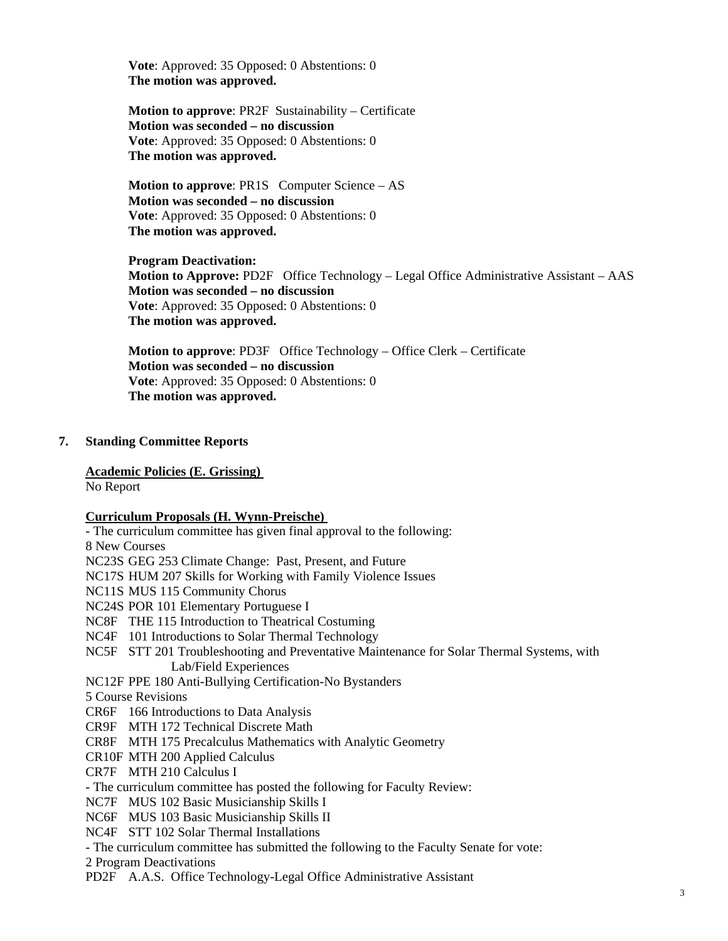**Vote**: Approved: 35 Opposed: 0 Abstentions: 0 **The motion was approved.** 

 **Motion to approve**: PR2F Sustainability – Certificate **Motion was seconded – no discussion Vote**: Approved: 35 Opposed: 0 Abstentions: 0 **The motion was approved.** 

 **Motion to approve**: PR1S Computer Science – AS **Motion was seconded – no discussion Vote**: Approved: 35 Opposed: 0 Abstentions: 0 **The motion was approved.** 

**Program Deactivation: Motion to Approve:** PD2F Office Technology – Legal Office Administrative Assistant – AAS **Motion was seconded – no discussion Vote**: Approved: 35 Opposed: 0 Abstentions: 0 **The motion was approved.** 

 **Motion to approve**: PD3F Office Technology – Office Clerk – Certificate **Motion was seconded – no discussion Vote**: Approved: 35 Opposed: 0 Abstentions: 0 **The motion was approved.** 

### **7. Standing Committee Reports**

#### **Academic Policies (E. Grissing)**

No Report

#### **Curriculum Proposals (H. Wynn-Preische)**

 - The curriculum committee has given final approval to the following: 8 New Courses NC23S GEG 253 Climate Change: Past, Present, and Future NC17S HUM 207 Skills for Working with Family Violence Issues NC11S MUS 115 Community Chorus NC24S POR 101 Elementary Portuguese I NC8F THE 115 Introduction to Theatrical Costuming NC4F 101 Introductions to Solar Thermal Technology NC5F STT 201 Troubleshooting and Preventative Maintenance for Solar Thermal Systems, with Lab/Field Experiences NC12F PPE 180 Anti-Bullying Certification-No Bystanders 5 Course Revisions CR6F 166 Introductions to Data Analysis CR9F MTH 172 Technical Discrete Math CR8F MTH 175 Precalculus Mathematics with Analytic Geometry CR10F MTH 200 Applied Calculus CR7F MTH 210 Calculus I - The curriculum committee has posted the following for Faculty Review: NC7F MUS 102 Basic Musicianship Skills I NC6F MUS 103 Basic Musicianship Skills II NC4F STT 102 Solar Thermal Installations - The curriculum committee has submitted the following to the Faculty Senate for vote: 2 Program Deactivations PD2F A.A.S. Office Technology-Legal Office Administrative Assistant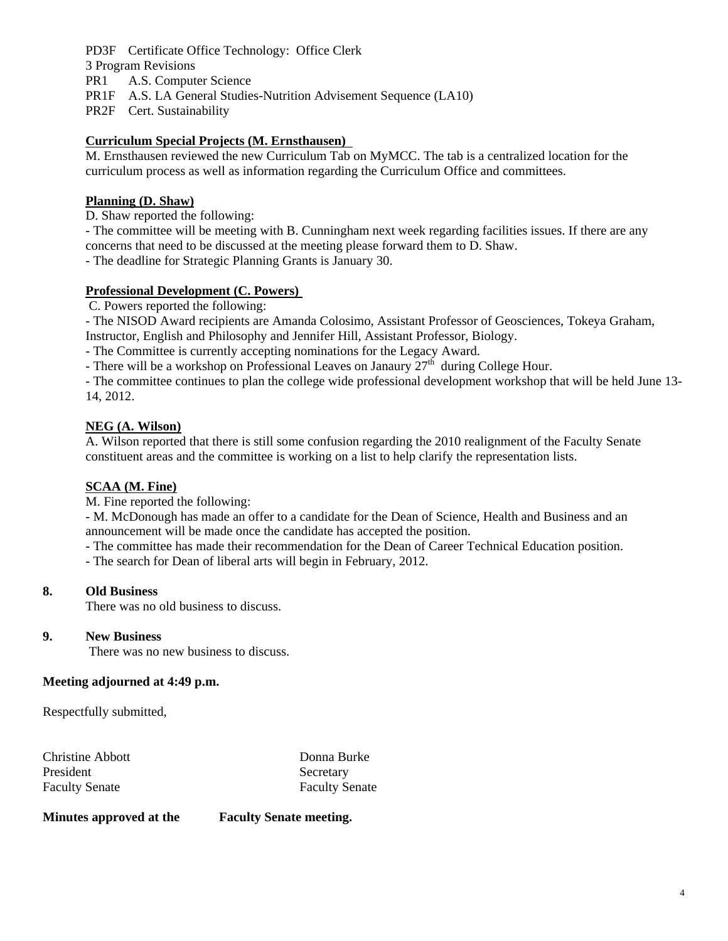PD3F Certificate Office Technology: Office Clerk 3 Program Revisions PR1 A.S. Computer Science PR1F A.S. LA General Studies-Nutrition Advisement Sequence (LA10) PR2F Cert. Sustainability

## **Curriculum Special Projects (M. Ernsthausen)**

M. Ernsthausen reviewed the new Curriculum Tab on MyMCC. The tab is a centralized location for the curriculum process as well as information regarding the Curriculum Office and committees.

# **Planning (D. Shaw)**

D. Shaw reported the following:

- The committee will be meeting with B. Cunningham next week regarding facilities issues. If there are any concerns that need to be discussed at the meeting please forward them to D. Shaw.

- The deadline for Strategic Planning Grants is January 30.

### **Professional Development (C. Powers)**

C. Powers reported the following:

- The NISOD Award recipients are Amanda Colosimo, Assistant Professor of Geosciences, Tokeya Graham, Instructor, English and Philosophy and Jennifer Hill, Assistant Professor, Biology.

- The Committee is currently accepting nominations for the Legacy Award.

- There will be a workshop on Professional Leaves on Janaury  $27<sup>th</sup>$  during College Hour.

- The committee continues to plan the college wide professional development workshop that will be held June 13- 14, 2012.

# **NEG (A. Wilson)**

 A. Wilson reported that there is still some confusion regarding the 2010 realignment of the Faculty Senate constituent areas and the committee is working on a list to help clarify the representation lists.

# **SCAA (M. Fine)**

M. Fine reported the following:

- M. McDonough has made an offer to a candidate for the Dean of Science, Health and Business and an announcement will be made once the candidate has accepted the position.

- The committee has made their recommendation for the Dean of Career Technical Education position.

- The search for Dean of liberal arts will begin in February, 2012.

### **8. Old Business**

There was no old business to discuss.

### **9. New Business**

There was no new business to discuss.

### **Meeting adjourned at 4:49 p.m.**

Respectfully submitted,

Christine Abbott Donna Burke President Secretary Faculty Senate Faculty Senate

**Minutes approved at the Faculty Senate meeting.**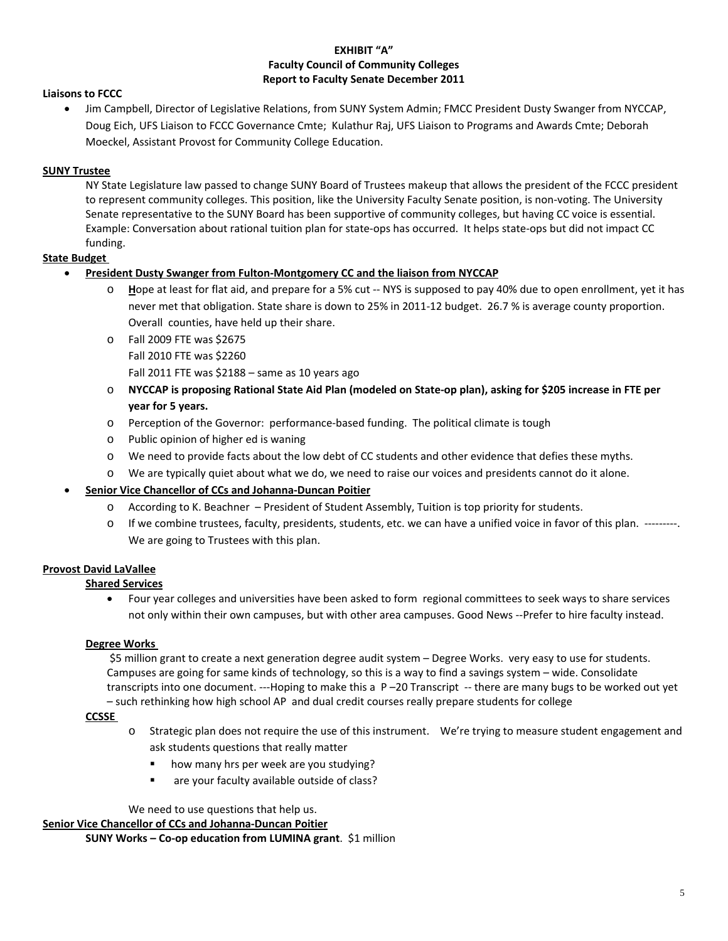#### **EXHIBIT "A" Faculty Council of Community Colleges Report to Faculty Senate December 2011**

#### **Liaisons to FCCC**

 Jim Campbell, Director of Legislative Relations, from SUNY System Admin; FMCC President Dusty Swanger from NYCCAP, Doug Eich, UFS Liaison to FCCC Governance Cmte; Kulathur Raj, UFS Liaison to Programs and Awards Cmte; Deborah Moeckel, Assistant Provost for Community College Education.

#### **SUNY Trustee**

NY State Legislature law passed to change SUNY Board of Trustees makeup that allows the president of the FCCC president to represent community colleges. This position, like the University Faculty Senate position, is non-voting. The University Senate representative to the SUNY Board has been supportive of community colleges, but having CC voice is essential. Example: Conversation about rational tuition plan for state‐ops has occurred. It helps state‐ops but did not impact CC funding.

#### **State Budget**

#### **President Dusty Swanger from Fulton‐Montgomery CC and the liaison from NYCCAP**

- Hope at least for flat aid, and prepare for a 5% cut -- NYS is supposed to pay 40% due to open enrollment, yet it has never met that obligation. State share is down to 25% in 2011‐12 budget. 26.7 % is average county proportion. Overall counties, have held up their share.
- o Fall 2009 FTE was \$2675 Fall 2010 FTE was \$2260
	- Fall 2011 FTE was  $$2188 -$ same as 10 years ago
- NYCCAP is proposing Rational State Aid Plan (modeled on State-op plan), asking for \$205 increase in FTE per **year for 5 years.**
- o Perception of the Governor: performance‐based funding. The political climate is tough
- o Public opinion of higher ed is waning
- o We need to provide facts about the low debt of CC students and other evidence that defies these myths.
- o We are typically quiet about what we do, we need to raise our voices and presidents cannot do it alone.

#### **Senior Vice Chancellor of CCs and Johanna‐Duncan Poitier**

- o According to K. Beachner President of Student Assembly, Tuition is top priority for students.
- o If we combine trustees, faculty, presidents, students, etc. we can have a unified voice in favor of this plan. ‐‐‐‐‐‐‐‐‐. We are going to Trustees with this plan.

### **Provost David LaVallee**

#### **Shared Services**

 Four year colleges and universities have been asked to form regional committees to seek ways to share services not only within their own campuses, but with other area campuses. Good News ‐‐Prefer to hire faculty instead.

#### **Degree Works**

\$5 million grant to create a next generation degree audit system – Degree Works. very easy to use for students. Campuses are going for same kinds of technology, so this is a way to find a savings system – wide. Consolidate transcripts into one document. ‐‐‐Hoping to make this a P –20 Transcript ‐‐ there are many bugs to be worked out yet – such rethinking how high school AP and dual credit courses really prepare students for college

#### **CCSSE**

- o Strategic plan does not require the use of this instrument. We're trying to measure student engagement and ask students questions that really matter
	- **•** how many hrs per week are you studying?
	- **EXECUTE:** are your faculty available outside of class?

We need to use questions that help us.

**Senior Vice Chancellor of CCs and Johanna‐Duncan Poitier**

**SUNY Works – Co‐op education from LUMINA grant**. \$1 million